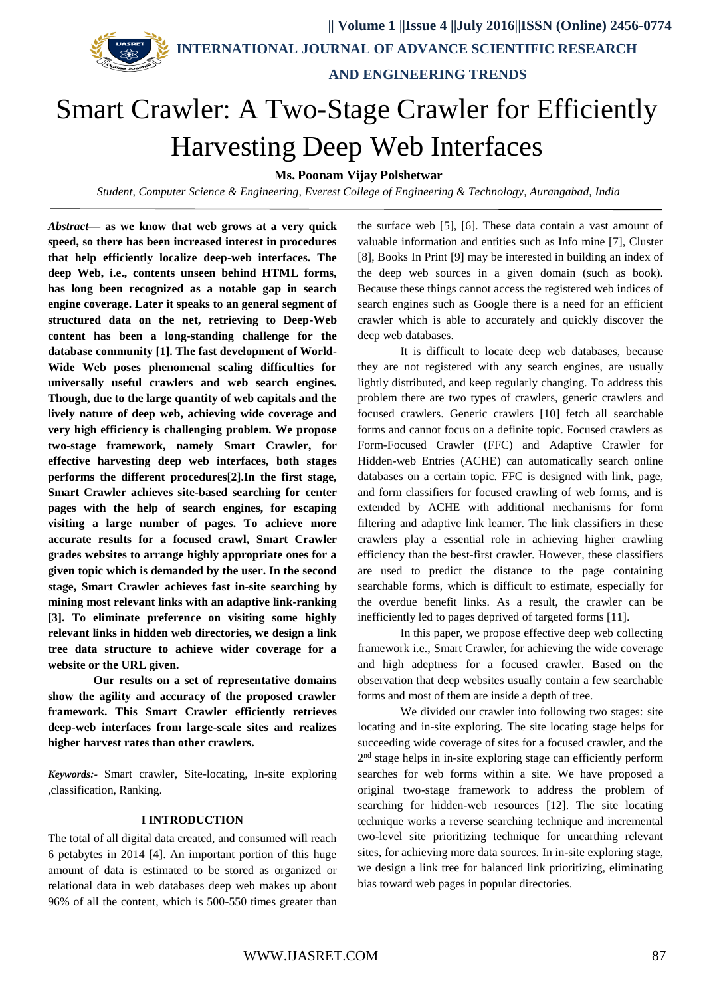**|| Volume 1 ||Issue 4 ||July 2016||ISSN (Online) 2456-0774**

 **INTERNATIONAL JOURNAL OF ADVANCE SCIENTIFIC RESEARCH** 

 **AND ENGINEERING TRENDS**

# Smart Crawler: A Two-Stage Crawler for Efficiently Harvesting Deep Web Interfaces

**Ms. Poonam Vijay Polshetwar**

*Student, Computer Science & Engineering, Everest College of Engineering & Technology, Aurangabad, India*

*Abstract***— as we know that web grows at a very quick speed, so there has been increased interest in procedures that help efficiently localize deep-web interfaces. The deep Web, i.e., contents unseen behind HTML forms, has long been recognized as a notable gap in search engine coverage. Later it speaks to an general segment of structured data on the net, retrieving to Deep-Web content has been a long-standing challenge for the database community [1]. The fast development of World-Wide Web poses phenomenal scaling difficulties for universally useful crawlers and web search engines. Though, due to the large quantity of web capitals and the lively nature of deep web, achieving wide coverage and very high efficiency is challenging problem. We propose two-stage framework, namely Smart Crawler, for effective harvesting deep web interfaces, both stages performs the different procedures[2].In the first stage, Smart Crawler achieves site-based searching for center pages with the help of search engines, for escaping visiting a large number of pages. To achieve more accurate results for a focused crawl, Smart Crawler grades websites to arrange highly appropriate ones for a given topic which is demanded by the user. In the second stage, Smart Crawler achieves fast in-site searching by mining most relevant links with an adaptive link-ranking [3]. To eliminate preference on visiting some highly relevant links in hidden web directories, we design a link tree data structure to achieve wider coverage for a website or the URL given.**

**Our results on a set of representative domains show the agility and accuracy of the proposed crawler framework. This Smart Crawler efficiently retrieves deep-web interfaces from large-scale sites and realizes higher harvest rates than other crawlers.**

*Keywords:-* Smart crawler, Site-locating, In-site exploring ,classification, Ranking.

## **I INTRODUCTION**

The total of all digital data created, and consumed will reach 6 petabytes in 2014 [4]. An important portion of this huge amount of data is estimated to be stored as organized or relational data in web databases deep web makes up about 96% of all the content, which is 500-550 times greater than the surface web [5], [6]. These data contain a vast amount of valuable information and entities such as Info mine [7], Cluster [8], Books In Print [9] may be interested in building an index of the deep web sources in a given domain (such as book). Because these things cannot access the registered web indices of search engines such as Google there is a need for an efficient crawler which is able to accurately and quickly discover the deep web databases.

It is difficult to locate deep web databases, because they are not registered with any search engines, are usually lightly distributed, and keep regularly changing. To address this problem there are two types of crawlers, generic crawlers and focused crawlers. Generic crawlers [10] fetch all searchable forms and cannot focus on a definite topic. Focused crawlers as Form-Focused Crawler (FFC) and Adaptive Crawler for Hidden-web Entries (ACHE) can automatically search online databases on a certain topic. FFC is designed with link, page, and form classifiers for focused crawling of web forms, and is extended by ACHE with additional mechanisms for form filtering and adaptive link learner. The link classifiers in these crawlers play a essential role in achieving higher crawling efficiency than the best-first crawler. However, these classifiers are used to predict the distance to the page containing searchable forms, which is difficult to estimate, especially for the overdue benefit links. As a result, the crawler can be inefficiently led to pages deprived of targeted forms [11].

In this paper, we propose effective deep web collecting framework i.e., Smart Crawler, for achieving the wide coverage and high adeptness for a focused crawler. Based on the observation that deep websites usually contain a few searchable forms and most of them are inside a depth of tree.

We divided our crawler into following two stages: site locating and in-site exploring. The site locating stage helps for succeeding wide coverage of sites for a focused crawler, and the 2<sup>nd</sup> stage helps in in-site exploring stage can efficiently perform searches for web forms within a site. We have proposed a original two-stage framework to address the problem of searching for hidden-web resources [12]. The site locating technique works a reverse searching technique and incremental two-level site prioritizing technique for unearthing relevant sites, for achieving more data sources. In in-site exploring stage, we design a link tree for balanced link prioritizing, eliminating bias toward web pages in popular directories.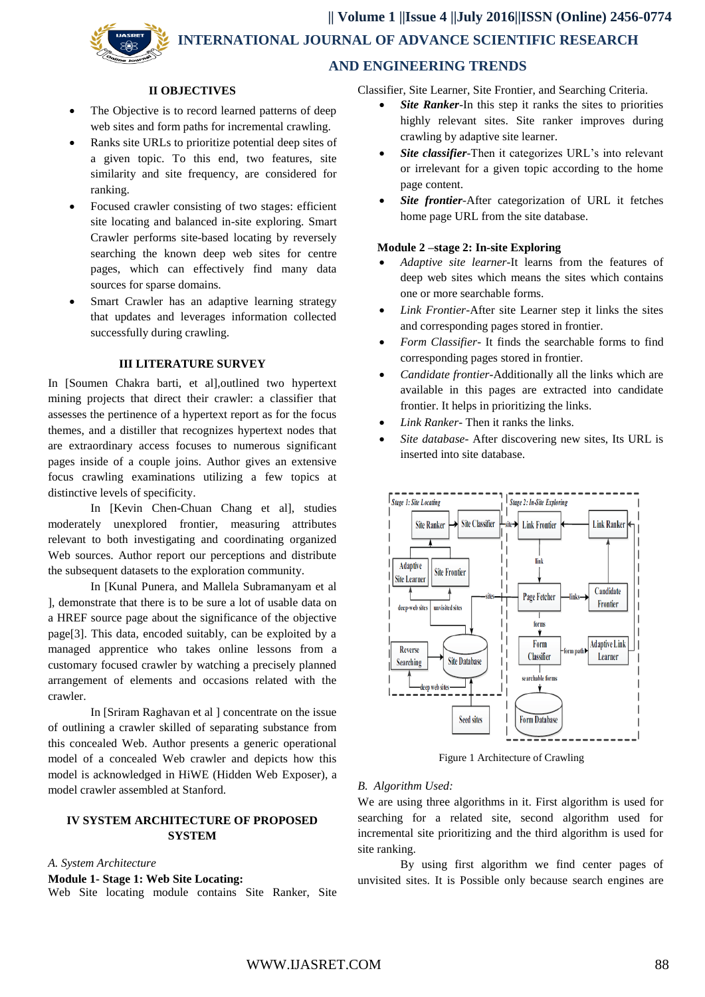**|| Volume 1 ||Issue 4 ||July 2016||ISSN (Online) 2456-0774 INTERNATIONAL JOURNAL OF ADVANCE SCIENTIFIC RESEARCH AND ENGINEERING TRENDS**

#### **II OBJECTIVES**

- The Objective is to record learned patterns of deep web sites and form paths for incremental crawling.
- Ranks site URLs to prioritize potential deep sites of a given topic. To this end, two features, site similarity and site frequency, are considered for ranking.
- Focused crawler consisting of two stages: efficient site locating and balanced in-site exploring. Smart Crawler performs site-based locating by reversely searching the known deep web sites for centre pages, which can effectively find many data sources for sparse domains.
- Smart Crawler has an adaptive learning strategy that updates and leverages information collected successfully during crawling.

# **III LITERATURE SURVEY**

In [Soumen Chakra barti, et al],outlined two hypertext mining projects that direct their crawler: a classifier that assesses the pertinence of a hypertext report as for the focus themes, and a distiller that recognizes hypertext nodes that are extraordinary access focuses to numerous significant pages inside of a couple joins. Author gives an extensive focus crawling examinations utilizing a few topics at distinctive levels of specificity.

In [Kevin Chen-Chuan Chang et al], studies moderately unexplored frontier, measuring attributes relevant to both investigating and coordinating organized Web sources. Author report our perceptions and distribute the subsequent datasets to the exploration community.

In [Kunal Punera, and Mallela Subramanyam et al ], demonstrate that there is to be sure a lot of usable data on a HREF source page about the significance of the objective page[3]. This data, encoded suitably, can be exploited by a managed apprentice who takes online lessons from a customary focused crawler by watching a precisely planned arrangement of elements and occasions related with the crawler.

In [Sriram Raghavan et al ] concentrate on the issue of outlining a crawler skilled of separating substance from this concealed Web. Author presents a generic operational model of a concealed Web crawler and depicts how this model is acknowledged in HiWE (Hidden Web Exposer), a model crawler assembled at Stanford.

# **IV SYSTEM ARCHITECTURE OF PROPOSED SYSTEM**

## *A. System Architecture*

# **Module 1- Stage 1: Web Site Locating:**

Web Site locating module contains Site Ranker, Site

Classifier, Site Learner, Site Frontier, and Searching Criteria.

- *Site Ranker*-In this step it ranks the sites to priorities highly relevant sites. Site ranker improves during crawling by adaptive site learner.
- *Site classifier*-Then it categorizes URL's into relevant or irrelevant for a given topic according to the home page content.
- *Site frontier*-After categorization of URL it fetches home page URL from the site database.

#### **Module 2 –stage 2: In-site Exploring**

- *Adaptive site learner*-It learns from the features of deep web sites which means the sites which contains one or more searchable forms.
- *Link Frontier*-After site Learner step it links the sites and corresponding pages stored in frontier.
- *Form Classifier* It finds the searchable forms to find corresponding pages stored in frontier.
- *Candidate frontier*-Additionally all the links which are available in this pages are extracted into candidate frontier. It helps in prioritizing the links.
- *Link Ranker* Then it ranks the links.
- *Site database* After discovering new sites, Its URL is inserted into site database.



Figure 1 Architecture of Crawling

#### *B. Algorithm Used:*

We are using three algorithms in it. First algorithm is used for searching for a related site, second algorithm used for incremental site prioritizing and the third algorithm is used for site ranking.

By using first algorithm we find center pages of unvisited sites. It is Possible only because search engines are